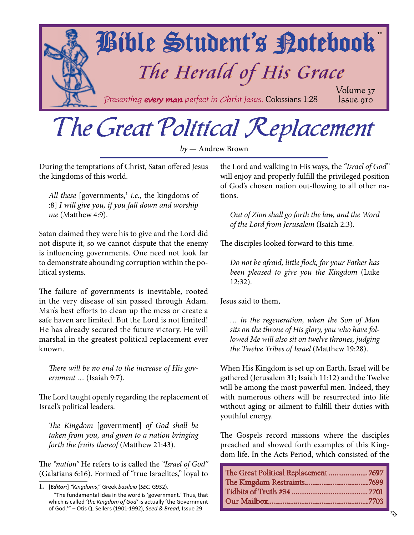<span id="page-0-0"></span>

# The Great Political Replacement

*by* — Andrew Brown

During the temptations of Christ, Satan offered Jesus the kingdoms of this world.

*All these* [governments,<sup>1</sup> *i.e.*, the kingdoms of :8] *I will give you, if you fall down and worship me* (Matthew 4:9).

Satan claimed they were his to give and the Lord did not dispute it, so we cannot dispute that the enemy is influencing governments. One need not look far to demonstrate abounding corruption within the political systems.

The failure of governments is inevitable, rooted in the very disease of sin passed through Adam. Man's best efforts to clean up the mess or create a safe haven are limited. But the Lord is not limited! He has already secured the future victory. He will marshal in the greatest political replacement ever known.

*There will be no end to the increase of His government …* (Isaiah 9:7).

The Lord taught openly regarding the replacement of Israel's political leaders.

*The Kingdom* [government] *of God shall be taken from you, and given to a nation bringing forth the fruits thereof* (Matthew 21:43).

The *"nation"* He refers to is called the *"Israel of God"* (Galatians 6:16). Formed of "true Israelites," loyal to the Lord and walking in His ways, the *"Israel of God"* will enjoy and properly fulfill the privileged position of God's chosen nation out-flowing to all other nations.

*Out of Zion shall go forth the law, and the Word of the Lord from Jerusalem* (Isaiah 2:3).

The disciples looked forward to this time.

*Do not be afraid, little flock, for your Father has been pleased to give you the Kingdom* (Luke 12:32).

Jesus said to them,

*… in the regeneration, when the Son of Man sits on the throne of His glory, you who have followed Me will also sit on twelve thrones, judging the Twelve Tribes of Israel* (Matthew 19:28).

When His Kingdom is set up on Earth, Israel will be gathered (Jerusalem 31; Isaiah 11:12) and the Twelve will be among the most powerful men. Indeed, they with numerous others will be resurrected into life without aging or ailment to fulfill their duties with youthful energy.

The Gospels record missions where the disciples preached and showed forth examples of this Kingdom life. In the Acts Period, which consisted of the

| The Great Political Replacement 7697 |  |
|--------------------------------------|--|
|                                      |  |
|                                      |  |
|                                      |  |

**<sup>1.</sup>** [*Editor:*] *"Kingdoms*," Greek *basileia* (*SEC,* G932). "The fundamental idea in the word is 'government.' Thus, that which is called *'the Kingdom of God'* is actually 'the Government of God.'" – Otis Q. Sellers (1901-1992), *Seed & Bread,* Issue 29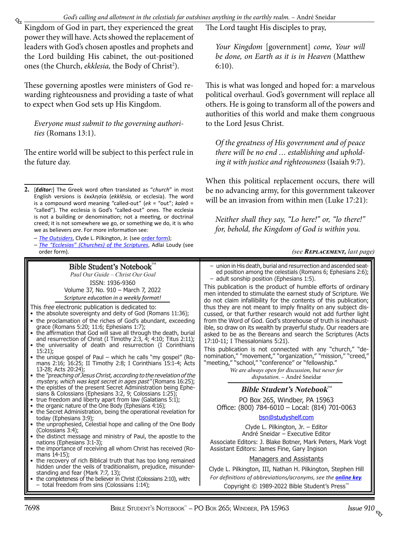<span id="page-1-0"></span>Kingdom of God in part, they experienced the great power they will have. Acts showed the replacement of leaders with God's chosen apostles and prophets and the Lord building His cabinet, the out-positioned ones (the Church, *ekklesia*, the Body of Christ<sup>2</sup>).

These governing apostles were ministers of God rewarding righteousness and providing a taste of what to expect when God sets up His Kingdom.

*Everyone must submit to the governing authorities* (Romans 13:1).

The entire world will be subject to this perfect rule in the future day.

- **2.** [*Editor:*] The Greek word often translated as "*church*" in most English versions is ἐκκλησία (*ekklēsia,* or ecclesia). The word is a compound word meaning "called-out" (*ek* = "out"; *kaleō*̄ = "called"). The ecclesia is God's "called-out" ones. The ecclesia is not a building or denomination; not a meeting, or doctrinal creed; it is not somewhere we go, or something we do, it is who we as believers *are*. For more information see:
	- *– [The Outsiders](http://www.studyshelf.com/clp.htm#4125)*, Clyde L. Pilkington, Jr. (see [order form\)](http://studyshelf.com/orderform-studyshelf.pdf);
	- *– [The "Ecclesias" \(Churches\) of the Scriptures](http://www.studyshelf.com/loudy.htm#1018)*, Adlai Loudy (see order form).

Bible Student's Notebook™ Paul Our Guide – Christ Our Goal

ISSN: 1936-9360 Volume 37, No. 910 – March 7, 2022 *Scripture education in a weekly format!*

- This free electronic publication is dedicated to:
- the absolute sovereignty and deity of God (Romans 11:36);
- the proclamation of the riches of God's abundant, exceeding grace (Romans 5:20; 11:6; Ephesians 1:7);
- the affirmation that God will save all through the death, burial and resurrection of Christ (I Timothy 2:3, 4; 4:10; Titus 2:11);
- the universality of death and resurrection (I Corinthians 15:21);
- the unique gospel of Paul which he calls "my gospel" (Romans 2:16; 16:25; II Timothy 2:8; I Corinthians 15:1-4; Acts 13-28; Acts 20:24);
- the "preaching of Jesus Christ, according to the revelation of the mystery, which was kept secret in ages past" (Romans 16:25);
- the epistles of the present Secret Administration being Ephesians & Colossians (Ephesians 3:2, 9; Colossians 1:25);
- true freedom and liberty apart from law (Galatians 5:1);
- the organic nature of the One Body (Ephesians 4:16);
- the Secret Administration, being the operational revelation for today (Ephesians 3:9);
- the unprophesied, Celestial hope and calling of the One Body (Colossians 3:4);
- the distinct message and ministry of Paul, the apostle to the nations (Ephesians 3:1-3);
- the importance of receiving all whom Christ has received (Romans 14-15);
- the recovery of rich Biblical truth that has too long remained hidden under the veils of traditionalism, prejudice, misunderstanding and fear (Mark 7:7, 13);
- the completeness of the believer in Christ (Colossians 2:10), with: total freedom from sins (Colossians  $1:14$ );

The Lord taught His disciples to pray,

*Your Kingdom* [government] *come, Your will be done, on Earth as it is in Heaven* (Matthew 6:10).

This is what was longed and hoped for: a marvelous political overhaul. God's government will replace all others. He is going to transform all of the powers and authorities of this world and make them congruous to the Lord Jesus Christ.

*Of the greatness of His government and of peace there will be no end … establishing and upholding it with justice and righteousness* (Isaiah 9:7).

When this political replacement occurs, there will be no advancing army, for this government takeover will be an invasion from within men (Luke 17:21):

*Neither shall they say, "Lo here!" or, "lo there!" for, behold, the Kingdom of God is within you.*

*(see [Replacement,](#page-7-0) last page)*

– union in His death, burial and resurrection and ascended seated position among the celestials (Romans 6; Ephesians 2:6); – adult sonship position (Ephesians 1:5). This publication is the product of humble efforts of ordinary men intended to stimulate the earnest study of Scripture. We do not claim infallibility for the contents of this publication; thus they are not meant to imply finality on any subject discussed, or that further research would not add further light from the Word of God. God's storehouse of truth is inexhaustible, so draw on its wealth by prayerful study. Our readers are asked to be as the Bereans and search the Scriptures (Acts 17:10-11; I Thessalonians 5:21). This publication is not connected with any "church," "denomination," "movement," "organization," "mission," "creed," "meeting," "school," "conference" or "fellowship."

*We are always open for discussion, but never for disputation.* – André Sneidar

## **Bible Student's Notebook**™

PO Box 265, Windber, PA 15963 Office: (800) 784-6010 – Local: (814) 701-0063

### bsn@studyshelf.com

Clyde L. Pilkington, Jr. – Editor André Sneidar – Executive Editor

Associate Editors: J. Blake Botner, Mark Peters, Mark Vogt Assistant Editors: James Fine, Gary Ingison

### Managers and Assistants

Clyde L. Pilkington, III, Nathan H. Pilkington, Stephen Hill

*For definitions of abbreviations/acronyms, see the [online key](http://studyshelf.com/abbreviation-key.pdf).* Copyright © 1989-2022 Bible Student's Press™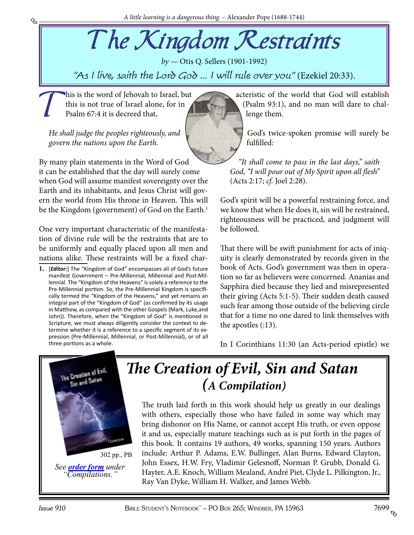# <span id="page-2-0"></span>The Kingdom Restraints

*by* — Otis Q. Sellers (1901-1992) "As I live, saith the Lord  $G_0$  ... I will rule over you" (Ezekiel 20:33).

This is the word of Jehovah to Israel, but<br>this is not true of Israel alone, for in<br>Psalm 67:4 it is decreed that, this is not true of Israel alone, for in Psalm 67:4 it is decreed that,

*He shall judge the peoples righteously, and govern the nations upon the Earth.*

By many plain statements in the Word of God it can be established that the day will surely come when God will assume manifest sovereignty over the Earth and its inhabitants, and Jesus Christ will govern the world from His throne in Heaven. This will be the Kingdom (government) of God on the Earth.<sup>1</sup>

One very important characteristic of the manifestation of divine rule will be the restraints that are to be uniformly and equally placed upon all men and nations alike. These restraints will be a fixed char-

**1.** [*Editor:*] The "Kingdom of God" encompasses all of God's future manifest Government – Pre-Millennial, Millennial and Post-Millennial. The "Kingdom of the Heavens" is solely a reference to the Pre-Millennial portion. So, the Pre-Millennial Kingdom is specifically termed the "Kingdom of the Heavens," and yet remains an integral part of the "Kingdom of God" (as confirmed by its usage in Matthew, as compared with the other Gospels (Mark, Luke,and John)). Therefore, when the "Kingdom of God" is mentioned in Scripture, we must always diligently consider the context to determine whether it is a reference to a specific segment of its expression (Pre-Millennial, Millennial, or Post-Millennial), or of all three portions as a whole.

acteristic of the world that God will establish (Psalm 93:1), and no man will dare to challenge them.

God's twice-spoken promise will surely be fulfilled:

*"It shall come to pass in the last days," saith God, "I will pour out of My Spirit upon all flesh"* (Acts 2:17; *cf.* Joel 2:28).

God's spirit will be a powerful restraining force, and we know that when He does it, sin will be restrained, righteousness will be practiced, and judgment will be followed.

That there will be swift punishment for acts of iniquity is clearly demonstrated by records given in the book of Acts. God's government was then in operation so far as believers were concerned. Ananias and Sapphira died because they lied and misrepresented their giving (Acts 5:1-5). Their sudden death caused such fear among those outside of the believing circle that for a time no one dared to link themselves with the apostles (:13).

In I Corinthians 11:30 (an Acts-period epistle) we



*[The Creation of Evil, Sin and Satan](http://www.studyshelf.com/compilations.htm#2954) (A Compilation)*

The truth laid forth in this work should help us greatly in our dealings with others, especially those who have failed in some way which may bring dishonor on His Name, or cannot accept His truth, or even oppose it and us, especially mature teachings such as is put forth in the pages of this book. It contains 19 authors, 49 works, spanning 150 years. Authors include: Arthur P. Adams, E.W. Bullinger, Alan Burns, Edward Clayton, John Essex, H.W. Fry, Vladimir Gelesnoff, Norman P. Grubb, Donald G. Hayter, A.E. Knoch, William Mealand, André Piet, Clyde L. Pilkington, Jr., Ray Van Dyke, William H. Walker, and James Webb.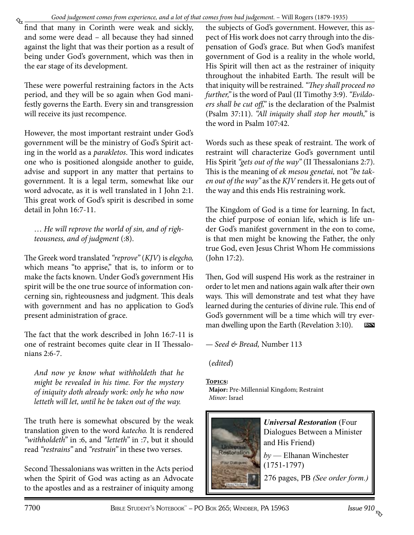<span id="page-3-0"></span>₠ find that many in Corinth were weak and sickly, and some were dead – all because they had sinned against the light that was their portion as a result of being under God's government, which was then in the ear stage of its development.

These were powerful restraining factors in the Acts period, and they will be so again when God manifestly governs the Earth. Every sin and transgression will receive its just recompence.

However, the most important restraint under God's government will be the ministry of God's Spirit acting in the world as a *parakletos*. This word indicates one who is positioned alongside another to guide, advise and support in any matter that pertains to government. It is a legal term, somewhat like our word advocate, as it is well translated in I John 2:1. This great work of God's spirit is described in some detail in John 16:7-11.

… *He will reprove the world of sin, and of righteousness, and of judgment* (:8).

The Greek word translated *"reprove"* (*KJV*) is *elegcho,* which means "to apprise," that is, to inform or to make the facts known. Under God's government His spirit will be the one true source of information concerning sin, righteousness and judgment. This deals with government and has no application to God's present administration of grace.

The fact that the work described in John 16:7-11 is one of restraint becomes quite clear in II Thessalonians 2:6-7.

*And now ye know what withholdeth that he might be revealed in his time. For the mystery of iniquity doth already work: only he who now letteth will let, until he be taken out of the way.*

The truth here is somewhat obscured by the weak translation given to the word *katecho.* It is rendered *"withholdeth"* in :6, and *"letteth"* in :7, but it should read *"restrains"* and *"restrain"* in these two verses.

Second Thessalonians was written in the Acts period when the Spirit of God was acting as an Advocate to the apostles and as a restrainer of iniquity among

the subjects of God's government. However, this aspect of His work does not carry through into the dispensation of God's grace. But when God's manifest government of God is a reality in the whole world, His Spirit will then act as the restrainer of iniquity throughout the inhabited Earth. The result will be that iniquity will be restrained. *"They shall proceed no further,"* is the word of Paul (II Timothy 3:9). *"Evildoers shall be cut off,"* is the declaration of the Psalmist (Psalm 37:11). *"All iniquity shall stop her mouth,"* is the word in Psalm 107:42.

Words such as these speak of restraint. The work of restraint will characterize God's government until His Spirit *"gets out of the way"* (II Thessalonians 2:7). This is the meaning of *ek mesou genetai,* not *"be taken out of the way"* as the *KJV* renders it. He gets out of the way and this ends His restraining work.

The Kingdom of God is a time for learning. In fact, the chief purpose of eonian life, which is life under God's manifest government in the eon to come, is that men might be knowing the Father, the only true God, even Jesus Christ Whom He commissions (John 17:2).

Then, God will suspend His work as the restrainer in order to let men and nations again walk after their own ways. This will demonstrate and test what they have learned during the centuries of divine rule. This end of God's government will be a time which will try everman dwelling upon the Earth (Revelation 3:10). **bsn**

— *Seed & Bread,* Number 113

(*edited*)

### **Topics:**

**Major:** Pre-Millennial Kingdom; Restraint *Minor:* Israel



*Universal Restoration* (Four [Dialogues Between a Minister](http://www.studyshelf.com/facsimile.htm#0691)  and His Friend) *by* — [Elhanan Winchester](http://www.lulu.com/shop/search.ep?contributorId=1518073)  (1751-1797) 276 pages, PB *(See order form.)*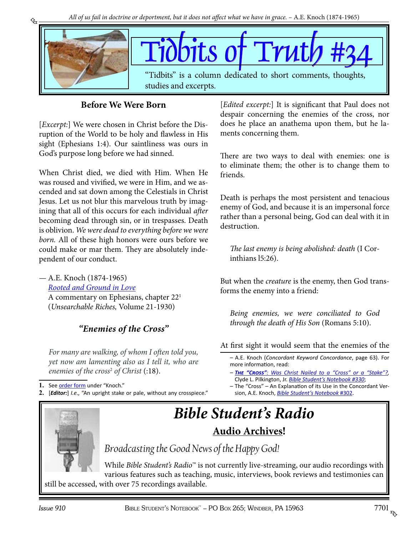<span id="page-4-0"></span>

## **Before We Were Born**

[*Excerpt:*] We were chosen in Christ before the Disruption of the World to be holy and flawless in His sight (Ephesians 1:4). Our saintliness was ours in God's purpose long before we had sinned.

When Christ died, we died with Him. When He was roused and vivified, we were in Him, and we ascended and sat down among the Celestials in Christ Jesus. Let us not blur this marvelous truth by imagining that all of this occurs for each individual *after* becoming dead through sin, or in trespasses. Death is oblivion. *We were dead to everything before we were born.* All of these high honors were ours before we could make or mar them. They are absolutely independent of our conduct.

— A.E. Knoch (1874-1965) *[Rooted and Ground in Love](http://www.studyshelf.com/knoch.htm#2442)*

A commentary on Ephesians, chapter 221 (*Unsearchable Riches,* Volume 21-1930)

## *"Enemies of the Cross"*

*For many are walking, of whom I often told you, yet now am lamenting also as I tell it, who are enemies of the cross*<sup>2</sup>  *of Christ* (:18).

**1.** See [order form](http://studyshelf.com/orderform-studyshelf.pdf) under "Knoch."

**2.** [*Editor:*] *I.e.,* "An upright stake or pale, without any crosspiece."

[*Edited excerpt:*] It is significant that Paul does not despair concerning the enemies of the cross, nor does he place an anathema upon them, but he laments concerning them.

There are two ways to deal with enemies: one is to eliminate them; the other is to change them to friends.

Death is perhaps the most persistent and tenacious enemy of God, and because it is an impersonal force rather than a personal being, God can deal with it in destruction.

*The last enemy is being abolished: death* (I Corinthians l5:26).

But when the *creature* is the enemy, then God transforms the enemy into a friend:

*Being enemies, we were conciliated to God through the death of His Son* (Romans 5:10).

At first sight it would seem that the enemies of the

– A.E. Knoch (*Concordant Keyword Concordance*, page 63). For more information, read:

- *– The "Cross": [Was Christ Nailed to a "Cross" or a "Stake"?,](http://www.studyshelf.com/art_pilkington_cross.pdf)*  Clyde L. Pilkington, Jr. *[Bible Student's Notebook #330](http://www.biblestudentsnotebook.com/bsn330.pdf)*;
- *–* The "Cross" An Explanation of its Use in the Concordant Version, A.E. Knoch, *[Bible Student's Notebook](http://www.biblestudentsnotebook.com/bsn302.pdf)* #302.

# *[Bible Student's Radio](http://www.biblestudentsradio.com/audios.html)* **Audio Archives!**

*Broadcasting the Good News of the Happy God!*

While *Bible Student's Radio*™ is not currently live-streaming, our audio recordings with various features such as teaching, music, interviews, book reviews and testimonies can still be accessed, with over 75 recordings available.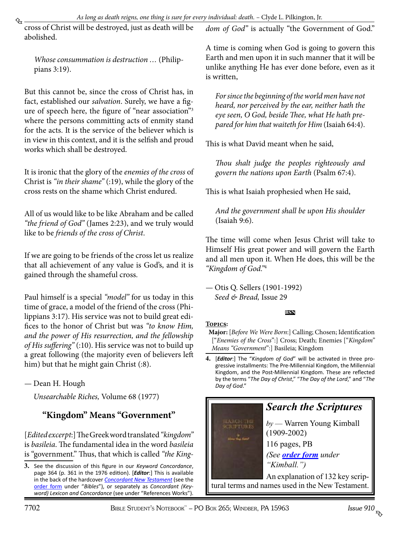<span id="page-5-0"></span>cross of Christ will be destroyed, just as death will be abolished.

*Whose consummation is destruction …* (Philippians 3:19).

But this cannot be, since the cross of Christ has, in fact, established our *salvation*. Surely, we have a figure of speech here, the figure of "near association"3 where the persons committing acts of enmity stand for the acts. It is the service of the believer which is in view in this context, and it is the selfish and proud works which shall be destroyed.

It is ironic that the glory of the *enemies of the cross* of Christ is *"in their shame"* (:19), while the glory of the cross rests on the shame which Christ endured.

All of us would like to be like Abraham and be called *"the friend of God"* (James 2:23), and we truly would like to be *friends of the cross of Christ*.

If we are going to be friends of the cross let us realize that all achievement of any value is God's, and it is gained through the shameful cross.

Paul himself is a special *"model"* for us today in this time of grace, a model of the friend of the cross (Philippians 3:17). His service was not to build great edifices to the honor of Christ but was *"to know Him, and the power of His resurrection, and the fellowship of His suffering"* (:10). His service was not to build up a great following (the majority even of believers left him) but that he might gain Christ (:8).

— Dean H. Hough

*Unsearchable Riches,* Volume 68 (1977)

## **"Kingdom" Means "Government"**

[*Edited excerpt*:] The Greek word translated *"kingdom"* is *basileia*. The fundamental idea in the word *basileia* is "government." Thus, that which is called *"the King-* *dom of God"* is actually "the Government of God."

A time is coming when God is going to govern this Earth and men upon it in such manner that it will be unlike anything He has ever done before, even as it is written,

*For since the beginning of the world men have not heard, nor perceived by the ear, neither hath the eye seen, O God, beside Thee, what He hath prepared for him that waiteth for Him* (Isaiah 64:4).

This is what David meant when he said,

*Thou shalt judge the peoples righteously and govern the nations upon Earth* (Psalm 67:4).

This is what Isaiah prophesied when He said,

*And the government shall be upon His shoulder* (Isaiah 9:6).

The time will come when Jesus Christ will take to Himself His great power and will govern the Earth and all men upon it. When He does, this will be the *"Kingdom of God."*<sup>4</sup>

— Otis Q. Sellers (1901-1992) *Seed & Bread,* Issue 29

## **bsn**

## **Topics:**

- **Major:** [*Before We Were Born*:] Calling; Chosen; Identification ["*Enemies of the Cross*":] Cross; Death; Enemies ["*Kingdom" Means "Government*":] Basileia; Kingdom
- **4.** [*Editor*:] The "*Kingdom of God*" will be activated in three progressive installments: The Pre-Millennial Kingdom, the Millennial Kingdom, and the Post-Millennial Kingdom. These are reflected by the terms "*The Day of Christ*," "*The Day of the Lord*," and "*The Day of God*."



**<sup>3.</sup>** See the discussion of this figure in our *Keyword Concordance*, page 364 (p. 361 in the 1976 edition). [*Editor*:] This is available in the back of the hardcover *Concordant [New Testament](http://www.studyshelf.com/2966.htm)* (see the [order form](http://studyshelf.com/orderform-studyshelf.pdf) under "*Bibles*"), or separately as *Concordant (Keyword) Lexicon and Concordance* (see under "References Works").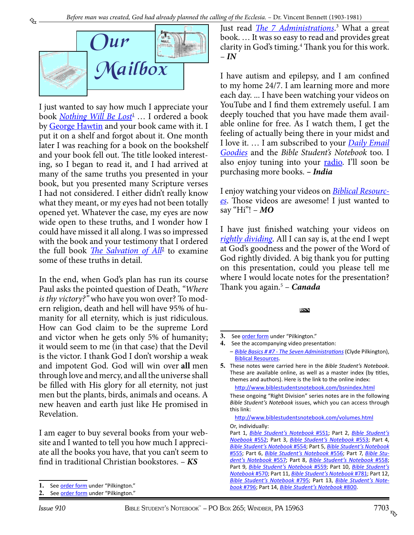<span id="page-6-0"></span>

I just wanted to say how much I appreciate your book <u>[Nothing Will Be Lost](http://www.studyshelf.com/hell.htm#3750)<sup>1</sup></u> ... I ordered a book by [George Hawtin](http://www.studyshelf.com/hell.htm#5175) and your book came with it. I put it on a shelf and forgot about it. One month later I was reaching for a book on the bookshelf and your book fell out. The title looked interesting, so I began to read it, and I had arrived at many of the same truths you presented in your book, but you presented many Scripture verses I had not considered. I either didn't really know what they meant, or my eyes had not been totally opened yet. Whatever the case, my eyes are now wide open to these truths, and I wonder how I could have missed it all along. I was so impressed with the book and your testimony that I ordered the full book *[The Salvation of All](http://www.studyshelf.com/hell.htm#7001)*<sup>2</sup> to examine some of these truths in detail.

In the end, when God's plan has run its course Paul asks the pointed question of Death, *"Where is thy victory?"* who have you won over? To modern religion, death and hell will have 95% of humanity for all eternity, which is just ridiculous. How can God claim to be the supreme Lord and victor when he gets only 5% of humanity; it would seem to me (in that case) that the Devil is the victor. I thank God I don't worship a weak and impotent God. God will win over **all** men through love and mercy, and all the universe shall be filled with His glory for all eternity, not just men but the plants, birds, animals and oceans. A new heaven and earth just like He promised in Revelation.

I am eager to buy several books from your website and I wanted to tell you how much I appreciate all the books you have, that you can't seem to find in traditional Christian bookstores. – *KS*

Just read *[The 7 Administrations](http://www.studyshelf.com/clp.htm#3838)*. 3 What a great book. … It was so easy to read and provides great clarity in God's timing.<sup>4</sup> Thank you for this work. – *IN*

I have autism and epilepsy, and I am confined to my home 24/7. I am learning more and more each day. ... I have been watching your videos on YouTube and I find them extremely useful. I am deeply touched that you have made them available online for free. As I watch them, I get the feeling of actually being there in your midst and I love it. … I am subscribed to your *[Daily Email](http://www.pilkingtonandsons.com/emailgoodies.htm) [Goodies](http://www.pilkingtonandsons.com/emailgoodies.htm)* and the *Bible Student's Notebook* too. I also enjoy tuning into your **[radio](http://www.biblestudentsradio.com/audios.html)**. I'll soon be purchasing more books. *– India*

I enjoy watching your videos on *[Biblical Resourc](https://www.youtube.com/user/1424241)[es](https://www.youtube.com/user/1424241)*. Those videos are awesome! I just wanted to say "Hi"! – *MO*

I have just finished watching your videos on *[rightly dividing](https://www.youtube.com/playlist%3Flist%3DPLXXxM1xuIaqu1tBH5L3fF8DinoBgiq83T)*. All I can say is, at the end I wept at God's goodness and the power of the Word of God rightly divided. A big thank you for putting on this presentation, could you please tell me where I would locate notes for the presentation? Thank you again.5 – *Canada*

#### **bsn**

<http://www.biblestudentsnotebook.com/volumes.html> Or, individually:

<sup>1.</sup> See [order form](http://studyshelf.com/orderform-studyshelf.pdf) under "Pilkington."

<sup>2.</sup> See **[order form](http://studyshelf.com/orderform-studyshelf.pdf)** under "Pilkington."

<sup>3.</sup> See **order form** under "Pilkington."

**<sup>4.</sup>** See the accompanying video presentation: *– [Bible Basics # #7 - The Seven Administrations](https://www.youtube.com/watch%3Fv%3DOOinNmNX3bs%26t%3D6s)* (Clyde Pilkington), [Biblical Resources](https://www.youtube.com/user/1424241).

**<sup>5.</sup>** These notes were carried here in the *Bible Student's Notebook*. These are available online, as well as a master index (by titles, themes and authors). Here is the link to the online index:

<http://www.biblestudentsnotebook.com/bsnindex.html>

These ongoing "Right Division" series notes are in the following *Bible Student's Notebook* issues, which you can access through this link:

Part 1, *[Bible Student's Notebook](http://www.biblestudentsnotebook.com/bsn551.pdf)* #551; Part 2, *[Bible Student's](http://www.biblestudentsnotebook.com/bsn552.pdf) [Noebook](http://www.biblestudentsnotebook.com/bsn552.pdf)* #552; Part 3, *[Bible Student's Notebook](http://www.biblestudentsnotebook.com/bsn553.pdf)* #553; Part 4, *[Bible Student's Notebook](http://www.biblestudentsnotebook.com/bsn554.pdf)* #554; Part 5, *[Bible Student's Notebook](http://www.biblestudentsnotebook.com/bsn555.pdf)* [#555](http://www.biblestudentsnotebook.com/bsn555.pdf); Part 6, *[Bible Student's Notebook](http://www.biblestudentsnotebook.com/bsn556.pdf)* #556; Part 7, *[Bible Stu](http://www.biblestudentsnotebook.com/bsn557.pdf)[dent's Notebook](http://www.biblestudentsnotebook.com/bsn557.pdf)* #557; Part 8, *[Bible Student's Notebook](http://www.biblestudentsnotebook.com/bsn558.pdf)* #558; Part 9, *[Bible Student's Notebook](http://www.biblestudentsnotebook.com/bsn559.pdf)* #559; Part 10, *[Bible Student's](http://www.biblestudentsnotebook.com/bsn570.pdf)  [Notebook](http://www.biblestudentsnotebook.com/bsn570.pdf)* #570; Part 11, *[Bible Student's Notebook](http://www.biblestudentsnotebook.com/bsn781.pdf)* #781; Part 12, *[Bible Student's Notebook](http://www.biblestudentsnotebook.com/bsn795.pdf)* #795; Part 13, *[Bible Student's Note](http://www.biblestudentsnotebook.com/bsn796.pdf)book* [#796;](http://www.biblestudentsnotebook.com/bsn796.pdf) Part 14, *[Bible Student's Notebook](http://www.biblestudentsnotebook.com/bsn800.pdf)* #800.